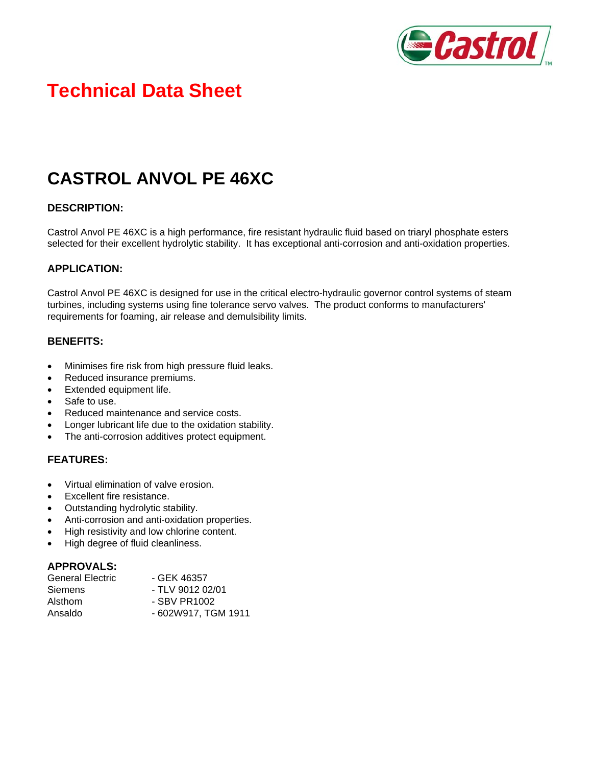

# **Technical Data Sheet**

# **CASTROL ANVOL PE 46XC**

#### **DESCRIPTION:**

Castrol Anvol PE 46XC is a high performance, fire resistant hydraulic fluid based on triaryl phosphate esters selected for their excellent hydrolytic stability. It has exceptional anti-corrosion and anti-oxidation properties.

#### **APPLICATION:**

Castrol Anvol PE 46XC is designed for use in the critical electro-hydraulic governor control systems of steam turbines, including systems using fine tolerance servo valves. The product conforms to manufacturers' requirements for foaming, air release and demulsibility limits.

#### **BENEFITS:**

- Minimises fire risk from high pressure fluid leaks.
- Reduced insurance premiums.
- Extended equipment life.
- Safe to use.
- Reduced maintenance and service costs.
- Longer lubricant life due to the oxidation stability.
- The anti-corrosion additives protect equipment.

## **FEATURES:**

- Virtual elimination of valve erosion.
- Excellent fire resistance.
- Outstanding hydrolytic stability.
- Anti-corrosion and anti-oxidation properties.
- High resistivity and low chlorine content.
- High degree of fluid cleanliness.

#### **APPROVALS:**

| <b>General Electric</b> | - GEK 46357         |  |
|-------------------------|---------------------|--|
| <b>Siemens</b>          | - TLV 9012 02/01    |  |
| Alsthom                 | - SBV PR1002        |  |
| Ansaldo                 | - 602W917, TGM 1911 |  |